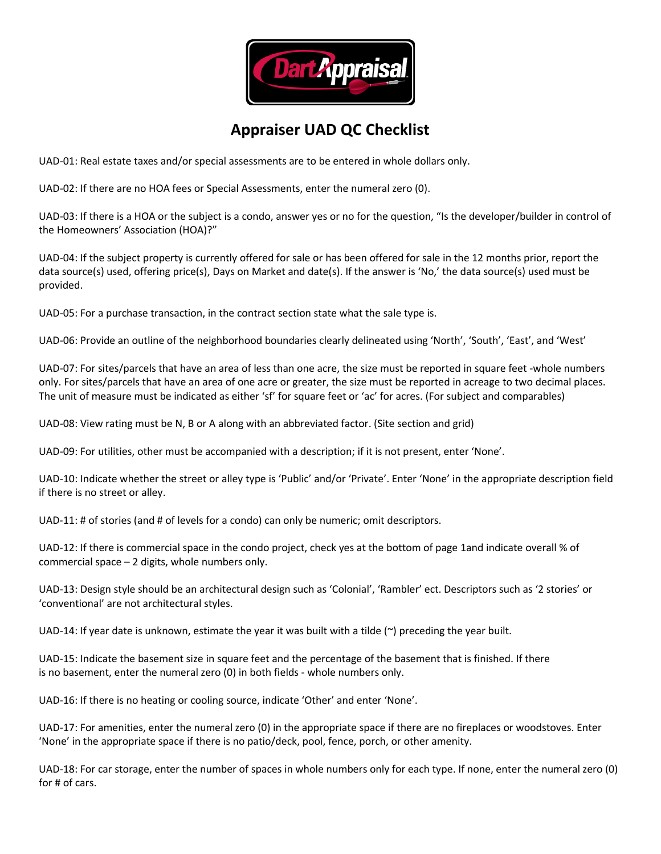

## **Appraiser UAD QC Checklist**

UAD-01: Real estate taxes and/or special assessments are to be entered in whole dollars only.

UAD‐02: If there are no HOA fees or Special Assessments, enter the numeral zero (0).

UAD‐03: If there is a HOA or the subject is a condo, answer yes or no for the question, "Is the developer/builder in control of the Homeowners' Association (HOA)?"

UAD-04: If the subject property is currently offered for sale or has been offered for sale in the 12 months prior, report the data source(s) used, offering price(s), Days on Market and date(s). If the answer is 'No,' the data source(s) used must be provided.

UAD-05: For a purchase transaction, in the contract section state what the sale type is.

UAD‐06: Provide an outline of the neighborhood boundaries clearly delineated using 'North', 'South', 'East', and 'West'

UAD-07: For sites/parcels that have an area of less than one acre, the size must be reported in square feet -whole numbers only. For sites/parcels that have an area of one acre or greater, the size must be reported in acreage to two decimal places. The unit of measure must be indicated as either 'sf' for square feet or 'ac' for acres. (For subject and comparables)

UAD‐08: View rating must be N, B or A along with an abbreviated factor. (Site section and grid)

UAD-09: For utilities, other must be accompanied with a description; if it is not present, enter 'None'.

UAD‐10: Indicate whether the street or alley type is 'Public' and/or 'Private'. Enter 'None' in the appropriate description field if there is no street or alley.

UAD-11: # of stories (and # of levels for a condo) can only be numeric; omit descriptors.

UAD-12: If there is commercial space in the condo project, check yes at the bottom of page 1and indicate overall % of commercial space – 2 digits, whole numbers only.

UAD‐13: Design style should be an architectural design such as 'Colonial', 'Rambler' ect. Descriptors such as '2 stories' or 'conventional' are not architectural styles.

UAD-14: If year date is unknown, estimate the year it was built with a tilde  $(\sim)$  preceding the year built.

UAD‐15: Indicate the basement size in square feet and the percentage of the basement that is finished. If there is no basement, enter the numeral zero (0) in both fields ‐ whole numbers only.

UAD-16: If there is no heating or cooling source, indicate 'Other' and enter 'None'.

UAD-17: For amenities, enter the numeral zero (0) in the appropriate space if there are no fireplaces or woodstoves. Enter 'None' in the appropriate space if there is no patio/deck, pool, fence, porch, or other amenity.

UAD‐18: For car storage, enter the number of spaces in whole numbers only for each type. If none, enter the numeral zero (0) for # of cars.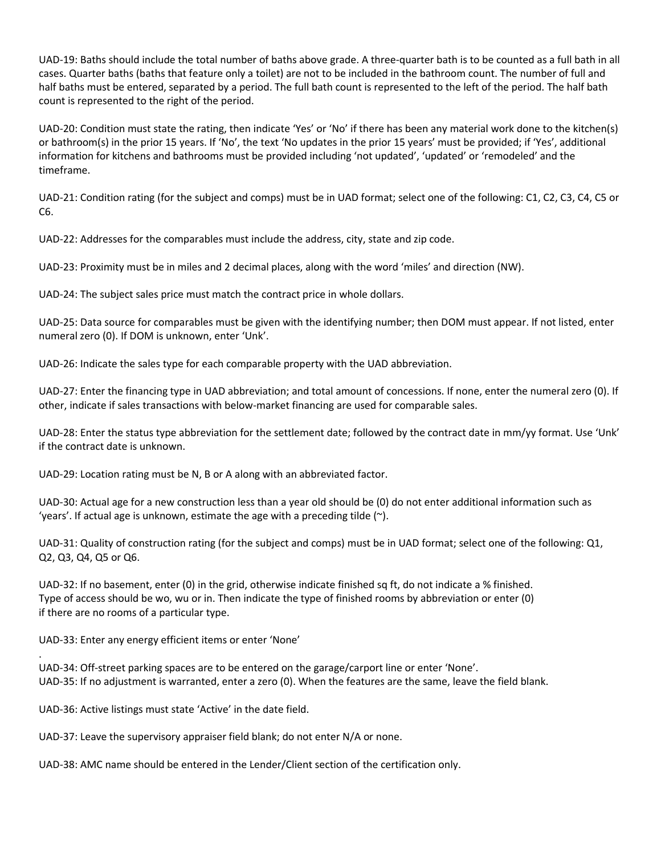UAD‐19: Baths should include the total number of baths above grade. A three‐quarter bath is to be counted as a full bath in all cases. Quarter baths (baths that feature only a toilet) are not to be included in the bathroom count. The number of full and half baths must be entered, separated by a period. The full bath count is represented to the left of the period. The half bath count is represented to the right of the period.

UAD-20: Condition must state the rating, then indicate 'Yes' or 'No' if there has been any material work done to the kitchen(s) or bathroom(s) in the prior 15 years. If 'No', the text 'No updates in the prior 15 years' must be provided; if 'Yes', additional information for kitchens and bathrooms must be provided including 'not updated', 'updated' or 'remodeled' and the timeframe.

UAD-21: Condition rating (for the subject and comps) must be in UAD format; select one of the following: C1, C2, C3, C4, C5 or  $C6$ 

UAD-22: Addresses for the comparables must include the address, city, state and zip code.

UAD-23: Proximity must be in miles and 2 decimal places, along with the word 'miles' and direction (NW).

UAD-24: The subject sales price must match the contract price in whole dollars.

UAD‐25: Data source for comparables must be given with the identifying number; then DOM must appear. If not listed, enter numeral zero (0). If DOM is unknown, enter 'Unk'.

UAD-26: Indicate the sales type for each comparable property with the UAD abbreviation.

UAD-27: Enter the financing type in UAD abbreviation; and total amount of concessions. If none, enter the numeral zero (0). If other, indicate if sales transactions with below-market financing are used for comparable sales.

UAD-28: Enter the status type abbreviation for the settlement date; followed by the contract date in mm/yy format. Use 'Unk' if the contract date is unknown.

UAD-29: Location rating must be N, B or A along with an abbreviated factor.

UAD‐30: Actual age for a new construction less than a year old should be (0) do not enter additional information such as 'years'. If actual age is unknown, estimate the age with a preceding tilde (~).

UAD‐31: Quality of construction rating (for the subject and comps) must be in UAD format; select one of the following: Q1, Q2, Q3, Q4, Q5 or Q6.

UAD-32: If no basement, enter (0) in the grid, otherwise indicate finished sq ft, do not indicate a % finished. Type of access should be wo, wu or in. Then indicate the type of finished rooms by abbreviation or enter (0) if there are no rooms of a particular type.

UAD‐33: Enter any energy efficient items or enter 'None'

.

UAD‐34: Off‐street parking spaces are to be entered on the garage/carport line or enter 'None'. UAD-35: If no adjustment is warranted, enter a zero (0). When the features are the same, leave the field blank.

UAD‐36: Active listings must state 'Active' in the date field.

UAD-37: Leave the supervisory appraiser field blank; do not enter N/A or none.

UAD-38: AMC name should be entered in the Lender/Client section of the certification only.